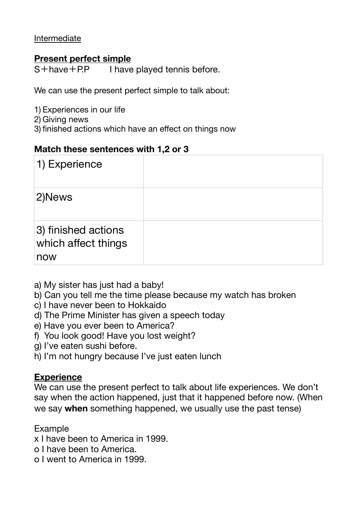Intermediate

## **Present perfect simple**

S+have+P.P I have played tennis before.

We can use the present perfect simple to talk about:

- 1) Experiences in our life
- 2) Giving news
- 3) finished actions which have an effect on things now

#### **Match these sentences with 1,2 or 3**

| 1) Experience                                     |  |
|---------------------------------------------------|--|
| 2)News                                            |  |
| 3) finished actions<br>which affect things<br>now |  |

- a) My sister has just had a baby!
- b) Can you tell me the time please because my watch has broken
- c) I have never been to Hokkaido
- d) The Prime Minister has given a speech today
- e) Have you ever been to America?
- f) You look good! Have you lost weight?
- g) I've eaten sushi before.
- h) I'm not hungry because I've just eaten lunch

### **Experience**

We can use the present perfect to talk about life experiences. We don't say when the action happened, just that it happened before now. (When we say **when** something happened, we usually use the past tense)

Example

- x I have been to America in 1999.
- o I have been to America.
- o I went to America in 1999.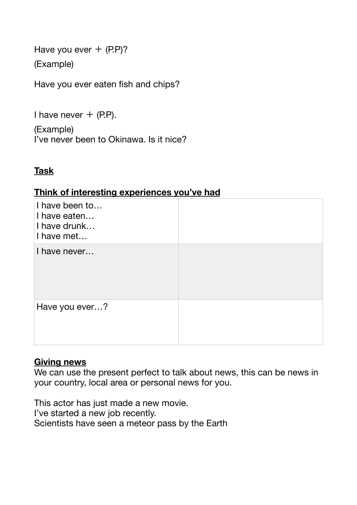Have you ever  $+$  (P.P)?

(Example)

Have you ever eaten fish and chips?

I have never  $+$  (P.P).

(Example) I've never been to Okinawa. Is it nice?

# **Task**

#### **Think of interesting experiences you've had**

| I have been to<br>I have eaten<br>I have drunk<br>I have met |  |
|--------------------------------------------------------------|--|
| I have never                                                 |  |
| Have you ever?                                               |  |

### **Giving news**

We can use the present perfect to talk about news, this can be news in your country, local area or personal news for you.

This actor has just made a new movie. I've started a new job recently. Scientists have seen a meteor pass by the Earth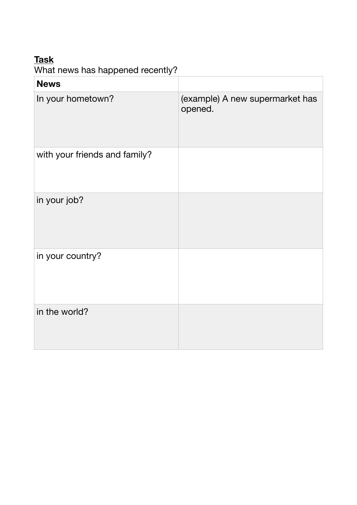# **Task**

What news has happened recently?

| <b>News</b>                   |                                            |
|-------------------------------|--------------------------------------------|
| In your hometown?             | (example) A new supermarket has<br>opened. |
| with your friends and family? |                                            |
| in your job?                  |                                            |
| in your country?              |                                            |
| in the world?                 |                                            |